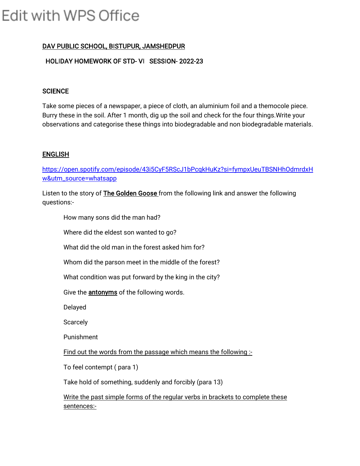# Edit with WPS Office

# DAV PUBLIC SCHOOL, BISTUPUR, JAMSHEDPUR

### HOLIDAY HOMEWORK OF STD- VI SESSION- 2022-23

#### **SCIENCE**

Take some pieces of a newspaper, a piece of cloth, an aluminium foil and a themocole piece. Burry these in the soil. After 1 month, dig up the soil and check for the four things.Write your observations and categorise these things into biodegradable and non biodegradable materials.

#### ENGLISH

https://open.spotify.com/episode/43i5CyF5RScJ1bPcqkHuKz?si=fympxUeuTBSNHhOdmrdxH w&utm\_source=whatsapp

Listen to the story of The Golden Goose from the following link and answer the following questions:-

How many sons did the man had?

Where did the eldest son wanted to go?

What did the old man in the forest asked him for?

Whom did the parson meet in the middle of the forest?

What condition was put forward by the king in the city?

Give the antonyms of the following words.

Delayed

**Scarcely** 

Punishment

Find out the words from the passage which means the following :-

To feel contempt ( para 1)

Take hold of something, suddenly and forcibly (para 13)

Write the past simple forms of the regular verbs in brackets to complete these sentences:-